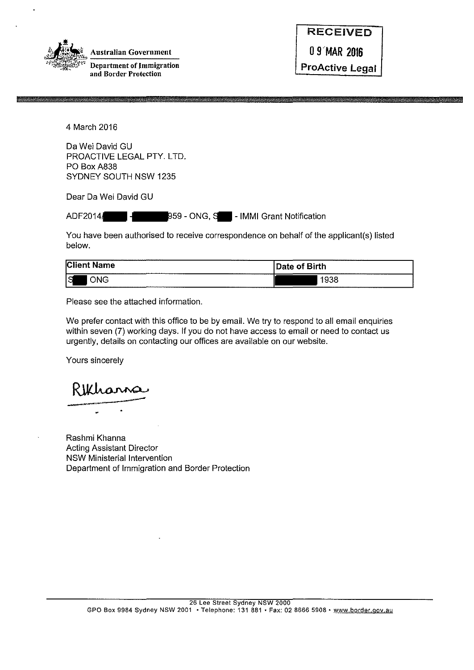

| <b>RECEIVED</b>        |
|------------------------|
| 0 9 MAR 2016           |
| <b>ProActive Legal</b> |

4 March 2016

Da Wei David GU PROACTIVE LEGAL PTY. LTD. PO Box A838 SYDNEY SOUTH NSW 1235

Dear Da Wei David GU

ADF2014/ - 959 - ONG, S - IMMI Grant Notification

You have been authorised to receive correspondence on behalf of the applicant(s) listed below.

| -----------<br>,,,,,,,,,,,,,,,,,,<br><b>Client</b><br>.<br><b>Name</b><br>-------------------- | --------------<br>Date of Birth   |
|------------------------------------------------------------------------------------------------|-----------------------------------|
| ---------------<br>lS<br><b>ONG</b>                                                            | 938<br>__________________________ |

Please see the attached information.

We prefer contact with this office to be by email. We try to respond to all email enquiries within seven (7) working days. If you do not have access to email or need to contact us urgently, details on contacting our offices are available on our website.

Yours sincerely

•

Rashmi Khanna Acting Assistant Director NSW Ministerial Intervention Department of Immigration and Border Protection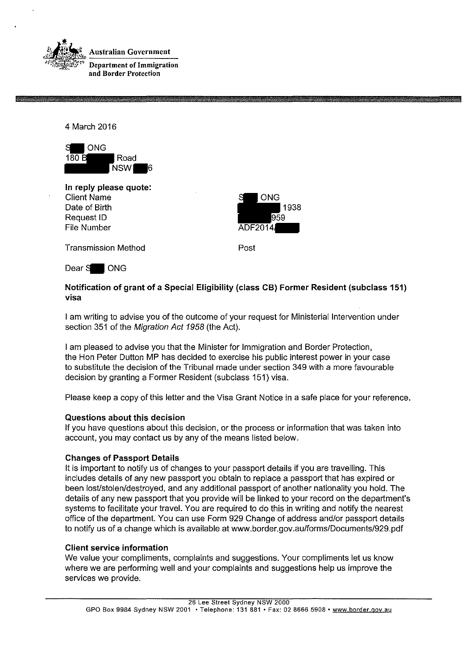

4 March 2016



**In reply please quote:**  Client Name Date of Birth Request ID File Number



Transmission Method

Post

Dear S**OU** ONG

# **Notification of grant of a Special Eligibility (class CB) Former Resident (subclass 151) visa**

I am writing to advise you of the outcome of your request for Ministerial Intervention under section 351 of the Migration Act 1958 (the Act).

I am pleased to advise you that the Minister for Immigration and Border Protection, the Han Peter Dutton MP has decided to exercise his public interest power in your case to substitute the decision of the Tribunal made under section 349 with a more favourable decision by granting a Former Resident (subclass 151) visa.

Please keep a copy of this letter and the Visa Grant Notice in a safe place for your reference.

## **Questions about this decision**

If you have questions about this decision, or the process or information that was taken into account, you may contact us by any of the means listed below.

# **Changes of Passport Details**

It is important to notify us of changes to your passport details if you are travelling. This includes details of any new passport you obtain to replace a passport that has expired or been lost/stolen/destroyed, and any additional passport of another nationality you hold. The details of any new passport that you provide will be linked to your record on the department's systems to facilitate your travel. You are required to do this in writing and notify the nearest office of the department. You can use Form 929 Change of address and/or passport details to notify us of a change which is available at www.border.gov.au/forms/Documents/929.pdf

## **Client service information**

We value your compliments, complaints and suggestions. Your compliments let us know where we are performing well and your complaints and suggestions help us improve the services we provide.